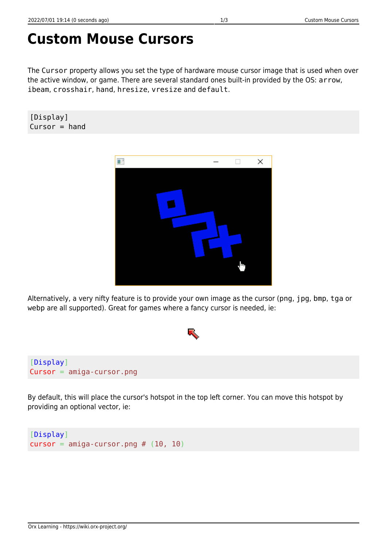## **Custom Mouse Cursors**

The Cursor property allows you set the type of hardware mouse cursor image that is used when over the active window, or game. There are several standard ones built-in provided by the OS: arrow, ibeam, crosshair, hand, hresize, vresize and default.

[Display]  $Cursor = hand$ 



Alternatively, a very nifty feature is to provide your own image as the cursor (png, jpg, bmp, tga or webp are all supported). Great for games where a fancy cursor is needed, ie:



By default, this will place the cursor's hotspot in the top left corner. You can move this hotspot by providing an optional vector, ie:

```
[Display]
cursor = amiga-cursor.png # (10, 10)
```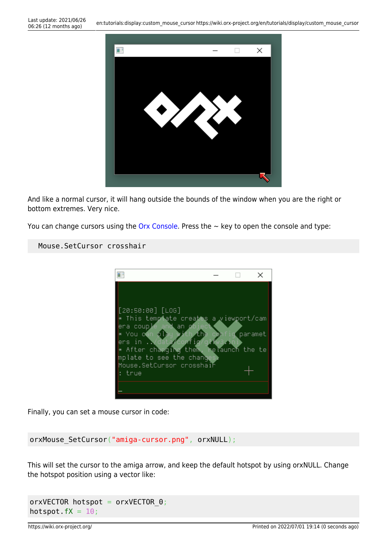

And like a normal cursor, it will hang outside the bounds of the window when you are the right or bottom extremes. Very nice.

You can change cursors using the [Orx Console](https://wiki.orx-project.org/en/tutorials/config/guide_to_the_orx_console). Press the  $\sim$  key to open the console and type:

## Mouse.SetCursor crosshair



Finally, you can set a mouse cursor in code:

## orxMouse SetCursor("amiga-cursor.png", orxNULL);

This will set the cursor to the amiga arrow, and keep the default hotspot by using orxNULL. Change the hotspot position using a vector like:

```
orxVECTOR hotspot = orxVECTOR 0;hotspot.fX = 10;
```